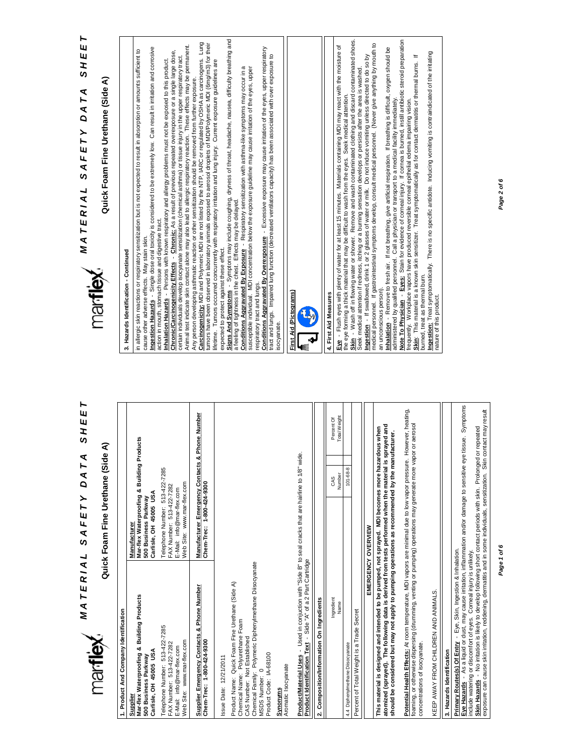# *MATERIAL SAFETY DATA SHEET A T E R I A L S A F E T Y D A T A S H E E T*

# Quick Foam Fine Urethane (Side A) **Quick Foam Fine Urethane (Side A)**

| 1. Product And Company Identification                                                                                                                                                                                                                                                                            |                                                                                                                       |                |                                   |
|------------------------------------------------------------------------------------------------------------------------------------------------------------------------------------------------------------------------------------------------------------------------------------------------------------------|-----------------------------------------------------------------------------------------------------------------------|----------------|-----------------------------------|
| Mar-flex Waterproofing & Building Products<br>Carlisle, OH 45005 USA<br>500 Business Parkway<br>Supplier                                                                                                                                                                                                         | Mar-flex Waterproofing & Building Products<br>Carlisle, OH 45005 USA<br>500 Business Parkway<br>Manufacturer          |                |                                   |
| Telephone Number: 513-422-7285<br>Web Site: www.mar-flex.com<br>FAX Number: 513-422-7282<br>E-Mail: info@mar-flex.com                                                                                                                                                                                            | Telephone Number: 513-422-7285<br>Web Site: www.mar-flex.com<br>FAX Number: 513-422-7282<br>E-Mail: info@mar-flex.com |                |                                   |
| Supplier Emergency Contacts & Phone Number<br>Chem-Trec: 1-800-424-9300                                                                                                                                                                                                                                          | Manufacturer Emergency Contacts & Phone Number<br>Chem-Trec: 1-800-424-9300                                           |                |                                   |
| Chemical Family: Polymeric Diphenylmethane Diisocyanate<br>Product Name: Quick Foam Fine Urethane (Side A)<br>Chemical Name: Polyurethane Foam<br>CAS Number: Not Established<br>Product Code: IA-68100<br>Issue Date: 12/21/2011<br>$\mathbf{C}$<br>MSDS Number:                                                |                                                                                                                       |                |                                   |
| Aromatic Isocyanate<br>Synonyms                                                                                                                                                                                                                                                                                  |                                                                                                                       |                |                                   |
| ProductMaterial Uses - Used in conjuction with "Side B" to seal cracks that are hairline to 1/8" wide.<br>Product Identification Text - Side "A" of a 2 Part Cartridge                                                                                                                                           |                                                                                                                       |                |                                   |
| 2. Composition/Information On Ingredients                                                                                                                                                                                                                                                                        |                                                                                                                       |                |                                   |
| Ingredient<br>Name                                                                                                                                                                                                                                                                                               |                                                                                                                       | Number<br>CAS  | <b>Total Weight</b><br>Percent Of |
| 4.4 Diphenylmethane Diisocyanate                                                                                                                                                                                                                                                                                 |                                                                                                                       | $101 - 68 - 8$ |                                   |
| Percent of Total Weight is a Trade Secret                                                                                                                                                                                                                                                                        |                                                                                                                       |                |                                   |
| EMERGENCY OVERVIEW                                                                                                                                                                                                                                                                                               |                                                                                                                       |                |                                   |
| atomized (sprayed). The following data is derived from tests performed when the material is sprayed and<br>This material is designed and intended to be pumped, not sprayed. MDI becomes more hazardous when<br>should be considered but may not apply to pumping operations as recommended by the manufacturer. |                                                                                                                       |                |                                   |
| Potential Health Effects: At room temperature, MDI vapors are minimal due to low vapor pressure. However, heating,<br>foaming, or otherwise dispersing (drumming, venting or pumping) operations may generate more vapor or aerosol<br>concentrations of isocyanate.                                             |                                                                                                                       |                |                                   |
| KEEP AWAY FROM CHILDREN AND ANIMALS.                                                                                                                                                                                                                                                                             |                                                                                                                       |                |                                   |
| 3. Hazards Identification                                                                                                                                                                                                                                                                                        |                                                                                                                       |                |                                   |
| Primary Routes(s) Of Entry - Eye, Skin, Ingestion & Inhalation.                                                                                                                                                                                                                                                  |                                                                                                                       |                |                                   |



**Eye Hazards** - As a liquid or dust, may cause irritation, inflammation and/or damage to sensitive eye tissue. Symptoms

**Skin Hazards** - No irritation is likely to develop following short contact periods with skin. Prolonged or repeated exposure can cause skin irritation, reddening, dermatitis and in some individuals, sensitization. Skin contact may result

<mark>Eye Hazards</mark> - As a liquid or dust, may cause irritation, inflammation and/or damage to sensitive eye tissue. Symptoms<br>include watering or discomfort of eyes. Comeal injury is unlikely.<br><u>Skin Hazards</u> - No irritation is l

include watering or discomfort of eyes. Corneal injury is unlikely.



# SHEET *A T E R I A L S A F E T Y D A T A S H E E T* **MATERIAL SAFETY DATA**<br>Martlex

**Quick Foam Fine Urethane (Side A)**

Quick Foam Fine Urethane (Side

ব

# 3. Hazards Identification - Continued **3. Hazards Identification - Continued**

estion Hazards - Single dose oral toxicity is considered to be extremely low. Can result in irritation and corrosive **Ingestion Hazards** - Single dose oral toxicity is considered to be extremely low. Can result in irritation and corrosive in allergic skin reactions or respiratory sensitization but is not expected to result in absorption or amounts sufficient to in allergic skin reactions or respiratory sensitization but is not expected to result in absorption or amounts sufficient to cause other adverse effects. May stain skin. cause other adverse effects. May stain skin.

**Inhalation Hazards** - Persons with known respiratory and allergy problems must not be exposed to this product. action in mouth, stomach tissue and digestive tract action in mouth, stomach tissue and digestive tract.

Animal test indicate skin contact alone may also lead to allergic respiratory reaction. These effects may be permanent. <u>Inhalation Hazards</u> - Persons with known respiratory and allergy problems must not be exposed to this product.<br><u>Chronic/Carcinogenicity Effects</u> - <u>Chronic:</u> As a result of previous repeated overexposure or a single large **Chronic/Carcinogenicity Effects** - **Chronic:** As a result of previous repeated overexposure or a single large dose, certain individuals develop isocyanate sensitization (chemical asthma) or tissue injury in the upper respiratory tract certain individuals develop isocyanate sensitization (chemical asthma) or tissue injury in the upper respiratory tract.

Carcinogenicity: MDI and Polymeric MDI are not isted by the NTP, IARC or regulated by OSHA as carcinogens. Lung<br>עווע Shave been observed in laboratory animals exposed to aerosol droplets of MDI/Polymeric MDI (פֿוֹהַטֶן הו **Carcinogenicity:** MDI and Polymeric MDI are not listed by the NTP, IARC or regulated by OSHA as carcinogens. Lung tumors have been observed in laboratory animals exposed to aerosol droplets of MDI/Polymeric MDI (6mg/m3) for their Animal test indicate skin contact alone may also lead to allergic respiratory reaction. These effects may be permanent.<br>Any person developing asthmatic reaction or other sensitization should be removed from further exposur Any person developing asthmatic reaction or other sensitization should be removed from further exposure.

lifetime. Tumors occurred concurrently with respiratory irritation and lung injury. Current exposure guidelines are lifetime. Tumors occurrent concurrently with respiratory irritation and lung injury. Current exposure guidelines are expected to protect against these effect. expected to protect against these effect.

**Signs And Symptoms** - Symptons may include coughing, dryness of throat, headache, nausea, difficulty breathing and St<u>ans And Symptoms</u> - Symptons may include coughing, dryness of throat, headache, nausea, difficulty breathing and<br>a feeling of tightness in the chest. Effects may be delayed.<br>Con**ditions Aggravated By Exposure** - Res feeling of tightness in the chest. Effects may be delayed.

**Conditions Aggravated By Exposure** - Respiratory sensitization with asthma-like symptoms may occur in a susceptible individual. MDI concentration below the exposure guideline may cause irritation of the eyes, upper susceptible individual. MDI concentration below the exposure guideline may cause irritation of the eyes, upper

respiratory tract and lungs. respiratory tract and lungs.

**Conditions Aggravated By Overexposure** - Excessive exposure may cause irritation of the eyes, upper respiratory tract and lungs. Impaired lung function (decreased ventilators capacity) has been associated with over exposure to Conditions Aggravated By Overexposure - Excessive exposure may cause irritation of the eyes, upper respiratory<br>tract and lungs. Impaired lung function (decreased ventilators capacity) has been associated with over exposure



#### 4. First Aid Measures **4. First Aid Measures**

Skin · Wash off in flowing water or shower. Remove and wash contaminated clothing and discard contaminated shoes<br>Seek medical attention if redness, itching or a burning sensation develops or persists after the area is wash **Skin** - Wash off in flowing water or shower. Remove and wash contaminated discard contaminated shoes. Eve - Flush eyes with plenty of water for at least 15 minutes. Materials containing MDI may react with the moisture of<br>the eye forming a thick material that may be difficult to wash from the eyes. Seek medical attention. **Eye** - Flush eyes with plenty of water for at least 15 minutes. Materials containing MDI may react with the moisture of the eye forming a thick material that may be difficult to wash from the eyes. Seek medical attention.

medical personnel. If gastrointestinal symptoms develop, consult medical personnel. (Never give anything by mouth to medical personnel. If gastrointestinal symptoms develop, consult medical personnel. (Never give anything by mouth to Ingestion - If swallowed, drink 1 or 2 glasses of water or milk. Do not induce vomiting unless directed to do so by **Ingestion** - If swallowed, drink 1 or 2 glasses of water or milk. Do not induce vomiting unless directed to do so by Seek medical attention if redness, itching or a burning sensation develops or persists after the area is washed.

Inhalation - Remove to fresh air. If not breathing, give artificial respiration. If breathing is difficult, oxygen should be **Inhalation** - Remove to fresh air. If not breathing, give artificial respiration. If breathing is difficult, oxygen should be administered by qualified personnel. Call a physician or transport to a medical facility immediately. administered by qualified personnel. Call a physician or transport to a medical facility immediately. an unconscious person). an unconscious person).

Note To Physician - Eyes: Stain for evidence of corneal injury. If cornea is burned, instill antibiotic steroid preparation **Note To Physician** - **Eyes:** Stain for evidence of corneal injury. If cornea is burned, instill antibiotic steroid preparation frequently. Workplace vapors have produced reversible corneal epithelial ederna impairing vision.<br>Skin: This material is a known skin sensitizer. Treat symptomatically as for contact dermatitis or thermal burns. If<br>burned, frequently. Workplace vapors have produced reversible corneal epithelial edema impairing vision.

**Skin**: This material is a known skin sensitizer. Treat symptomatically as for contact dermatitis or thermal burns. If burned, treat as thermal burn.

burned, treat as thermal burn.<br>There is a propromatically. There is no specific antidote. Inducing vomiting is contraindicated of the iritating<br>nature of this product. **Ingestion:** Treat symptomatically. There is no specific antidote. Inducing vomiting is contraindicated of the irritating nature of this product.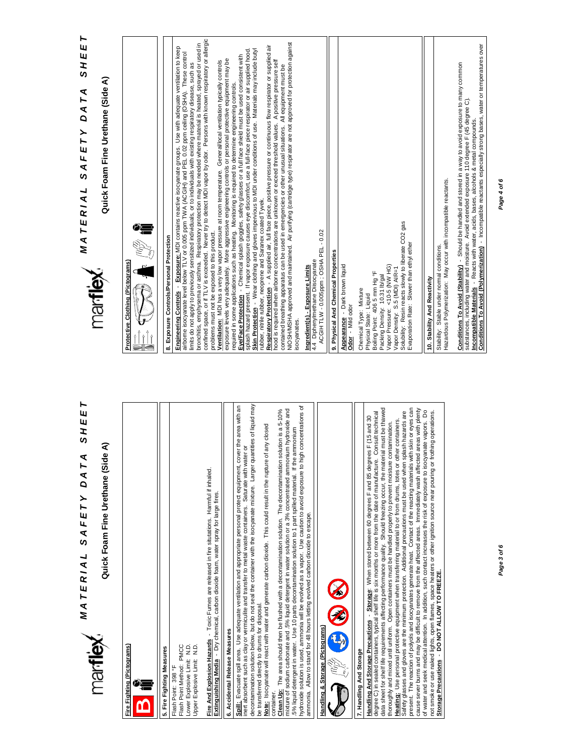# *MATERIAL SAFETY DATA SHEET A T E R I A L S A F E T Y D A T A S H E E T*

# Quick Foam Fine Urethane (Side A) **Quick Foam Fine Urethane (Side A)**



5. Fire Fighting Measures Flash Point Method: PMCC Flash Point Method: PMCC Lower Explosive Limit: N.D. Lower Explosive Limit: N.D. Upper Explosive Limit: N.D. Upper Explosive Limit: N.D. **5. Fire Fighting Measures** Flash Point: 398 °F Flash Point: 398 °F

Fire And Explosion Hazards - Toxic Fumes are released in fire situtations. Harmful if inhaled. **Fire And Explosion Hazards** - Toxic Fumes are released in fire situtations. Harmful if inhaled. Extinguishing Media - Dry chemical, carbon dioxide foam, water spray for large fires. **Extinguishing Media** - Dry chemical, carbon dioxide foam, water spray for large fires.

## 6. Accidental Release Measures **6. Accidental Release Measures**

Spill: Evacuate spill area. Use adequate ventilation and appropriate personal protect equipment, cover the area with an<br>inert absorbent such as clay or vermiculite and transfer to metal waste containers. Saturate with wate decontamination solution below, but do not seal the container with the isocyanate mixture. Larger quantities of liquid may decontamination solution below, but do not seal the container with the isocyanate mixture. Larger quantities of liquid may **Spill:** Evacuate spill area. Use adequate ventilation and appropriate personal protect equipment, cover the area with an inert absorbent such as clay or vermiculite and transfer to metal waste containers. Saturate with water or be transferred directly to drums for disposal. be transferred directly to drums for disposal.

Note: Isocyanate will react with water and generate carbon dioxide. This could result in the rupture of any closed **Note:** Isocyanate will react with water and generate carbon dioxide. This could result in the rupture of any closed

hydroxide solution is used, ammonia will be evolved as a vapor. Use caution to avoid exposure to high concentrations of hydroxide solution is used, ammonia will be evolved as a vapor. Use caution to avoid exposure to high concentrations of container.<br><mark>Clean Up:</mark> The area should then be flushed with a decontamination solution. The decontamination solution is a 5-10% mixture of sodium carbonate and .5% liquid detergent in water solution or a 3% concentrated ammonium hydroxide and mixture of sodium carbonate and .5% liquid detergent in water solution or a 3% concentrated ammonium hydroxide and **Clean Up:** The area should then be flushed with a decontamination solution. The decontamination solution is a 5-10% .5% liquid detergent in water. Use 10 parts decontamination solution to 1 part spilled material. If the ammonium .5% liquid detergent in water. Use 10 parts decontamination solution to 1 part spilled material. If the ammonium ammonia. Allow to stand for 48 hours letting evolved carbon dioxide to escape. ammonia. Allow to stand for 48 hours letting evolved carbon dioxide to escape.



### 7. Handling And Storage **7. Handling And Storage**

data sheet for shelf life requirements affecting performance quality. Should freezing occur, the material must be thawed present. The reaction of polyols and isocyanates generate heat. Contact of the reacting materials with skin or eyes can data sheet for shelf life requirements affecting performance quality. Should freezing occur, the material must be thawed cause sever burns and may be difficult to remove from the affected areas. Immediately wash affected areas with plenty present. The reaction of polyols and isocyanates generate heat. Contact of the reacting materials with skin or eyes can cause sever burns and may be difficult to remove from the affected areas. Immediately wash affected areas with plenty <u>Handling And Storage Precautions</u> - <u>Storage</u>: When stored between 60 degrees F and 85 degrees F (15 and 30<br>degree C) in sealed containers, typical shelf life is six months or more from the date of manufacture. Consult te Safety glasses and gloves are the minimum protection. Additional precautions must be used when splash hazards are of water and seek medical attention. In addition, such contact increases the risk of exposure to isocyanate vapors. Do not smoke or use naked lights, open flames, space heaters or other ignition source near pouring or frothing operations.<br><u>Storage Precautions</u> - DO NOT ALLOW TO FREEZE. degree C) in sealed containers, typical shelf life is six months or more from the date of manufacture. Consult technical Safety glasses and gloves are the minimum protection. Additional precautions must be used when splash hazards are of water and seek medical attention. In addition, such contact increases the risk of exposure to isocyanate vapors. Do not smoke or use naked lights, open flames, space heaters or other ignition source near pouring or frothing operations. **Handling And Storage Precautions** - **Storage**: When stored between 60 degrees F and 85 degrees F (15 and 30 Heating: Use personal protective equipment when transferring material to or from drums, totes or other containers. **Heating:** Use personal protective equipment when transferring material to or from drums, totes or other containers. thoroughly and mixed uniti uniform. Open containers must be handled properly to prevent moisture contamination. thoroughly and mixed until uniform. Open containers must be handled properly to prevent moisture contamination. **Storage Precautions** - **DO NOT ALLOW TO FREEZE.**



# **MATERIAL SAFETY DATA SHEET**<br>Material safety data sheet *A T E R I A L S A F E T Y D A T A S H E E T* Quick Foam Fine Urethane (Side

ব



**Conditions To Avoid (Polymerization)** - Incompatible reactants especially strong bases, water or temperatures over

Conditions To Avoid (Polymerization) - Incompatible reactants especially strong bases, water or temperatures over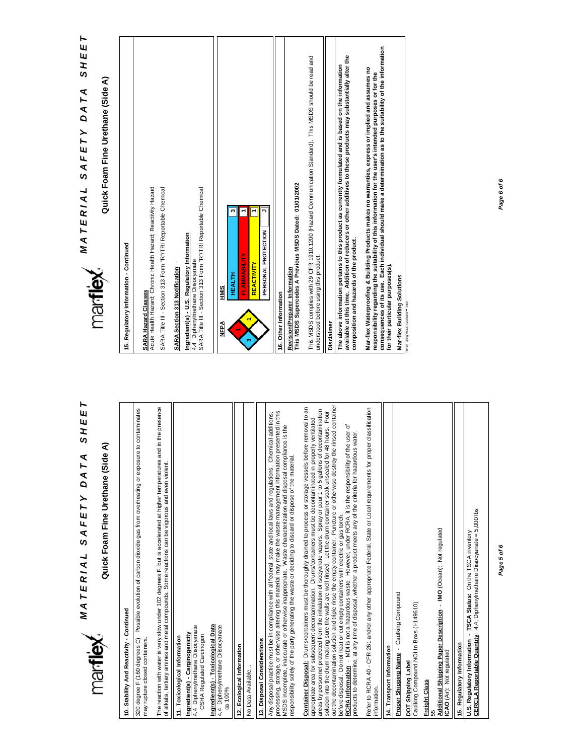| ►<br>$\mathbf{u}$<br>SHE<br>DATA<br>SAFETY<br>MATERIAL                                                                                                                                                                                                                                                                                                                                                                                                                         |
|--------------------------------------------------------------------------------------------------------------------------------------------------------------------------------------------------------------------------------------------------------------------------------------------------------------------------------------------------------------------------------------------------------------------------------------------------------------------------------|
| Quick Foam Fine Urethane (Side A)<br>marflex.                                                                                                                                                                                                                                                                                                                                                                                                                                  |
| 10. Stability And Reactivity - Continued                                                                                                                                                                                                                                                                                                                                                                                                                                       |
| 320 degree F (160 degrees C). Possible evolution of carbon dioxide gas from overheating or exposure to contaminates<br>may rupture closed containers                                                                                                                                                                                                                                                                                                                           |
| The reaction with water is very slow under 102 degrees F, but is accelerated at higher temperatures and in the presence<br>of alkalis, tertiary amines and metal compounds. Some reactions can be vigorous and even violent.                                                                                                                                                                                                                                                   |
| 11. Toxicological Information                                                                                                                                                                                                                                                                                                                                                                                                                                                  |
| 4.4 Diphenylmethane Diisocyanate<br>Ingredient(s) - Carginogenicity<br>OSHA Regulated Carcinogen                                                                                                                                                                                                                                                                                                                                                                               |
| Ingredient(s) - Toxicological Data<br>4.4 Diphenylmethane Diisocyanate<br>ca 100%                                                                                                                                                                                                                                                                                                                                                                                              |
| 12. Ecological Information                                                                                                                                                                                                                                                                                                                                                                                                                                                     |
| No Data Available.                                                                                                                                                                                                                                                                                                                                                                                                                                                             |
| 13. Disposal Considerations                                                                                                                                                                                                                                                                                                                                                                                                                                                    |
| processing, storage, or otherwise altering this material may make the waste management information presented in this<br>Any disposal practice must be in compliance with all federal, state and local laws and regulations. Chemical additions,<br>MSDS incomplete, inaccurate or otherwise inappropriate. Waste characterization and disposal compliance is the<br>responsibility solely of the party generating the waste or deciding to discard or dispose of the material. |
| Container Disposal: Drums/containers must be thoroughly drained to process or storage vessels before removal to an<br>appropriate area for subsequent decontamination. Drums/containers must be decontaminated in properly ventilated                                                                                                                                                                                                                                          |
| out the decontamination solution and triple rinse the empty container. Puncture or otherwise destroy the rinsed container<br>areas by personnel protected from the inhalation of isocyanate vapors. Spray or pour 1 to 5 gallons of decontamination<br>Pour<br>solution into the drum making sure the walls are well rinsed. Let the drum container soak unsealed for 48 hours.<br>before disposal. Do not heat or cut empty containers with electric or gas torch.            |
| ৳<br>RCRA Information - MDI is not a hazardous waste. However, under RCRA, it is the responsibility of the user<br>products to determine, at any time of disposal, whether a product meets any of the criteria for hazardous water.                                                                                                                                                                                                                                            |
| Refer to RCRA 40 - CFR 261 and/or any other appropriate Federal, State or Local requirements for proper classification<br>information.                                                                                                                                                                                                                                                                                                                                         |
| 14. Transport Information                                                                                                                                                                                                                                                                                                                                                                                                                                                      |
| Proper Shipping Name - Caulking Compound<br>Caulking Compound. NOI. In Boxs (I-149610)<br>DOT Shipping Labe                                                                                                                                                                                                                                                                                                                                                                    |
| <b>Freight Class</b><br>55                                                                                                                                                                                                                                                                                                                                                                                                                                                     |
| Additional Shipping Paper Description - IMO (Ocean): Not regulated<br><b>CAO</b> (Air): Not regulated                                                                                                                                                                                                                                                                                                                                                                          |
| 15. Regulatory Information                                                                                                                                                                                                                                                                                                                                                                                                                                                     |
| U.S. Regulatory Information - TSCA Status: On the TSCA inventory<br>CERCLA Reportable Quantity: 4,4, Diphenylmethane Diisocyanate = 5,000 lbs                                                                                                                                                                                                                                                                                                                                  |

**MATERIAL SAFETY DATA SHEET**<br>
TICITIEX *A T E R I A L S A F E T Y D A T A S H E E T* Quick Foam Fine Urethane (Side A)

**Quick Foam Fine Urethane (Side A)**

| 15. Regulatory Information - Continued                                                                                                                                                                                                                                                                                                                              |
|---------------------------------------------------------------------------------------------------------------------------------------------------------------------------------------------------------------------------------------------------------------------------------------------------------------------------------------------------------------------|
| Acute Health Hazard; Chronic Health Hazard; Reactivity Hazard<br>SARA Title III - Section 313 Form "R"/TRI Reportable Chemical<br><b>SARA Hazard Classes</b>                                                                                                                                                                                                        |
| SARA Title III - Section 313 Form "R"/TRI Reportable Chemical<br>Ingredient(s) - U.S. Regulatory Information<br>4.4 Diphenylmethane Diisocyanate<br>SARA Section 313 Notification                                                                                                                                                                                   |
| PERSONAL PROTECTION<br>FLAMMABILITY<br><b>REACTIVITY</b><br><b>HEALTH</b><br><b>HMIS</b><br>Ne∋<br>N                                                                                                                                                                                                                                                                |
| This MSDS Supercedes A Previous MSDS Dated: 01/01/2002<br>Revision/Preparer Information<br>16. Other Information                                                                                                                                                                                                                                                    |
| This MSDS complies with 29 CFR 1910.1200 (Hazard Communication Standard). This MSDS should be read and<br>understood before using this product.<br>Disclaimer                                                                                                                                                                                                       |
| available at this time. Addition of reducers or other additives to these products may substantially alter the<br>The above information pertains to this product as currently formulated and is based on the information<br>composition and hazards of the product.                                                                                                  |
| consequences of its use. Each individual should make a determination as to the suitability of the information<br>Mar-flex Waterproofing & Building Products makes no warranties, express or implied and assumes no<br>responsibility regarding the suitability of this information for the user's intended purposes or for the<br>for their particular purposes(s). |
| Mar-flex Building Solutions<br>Primed Using MSDS Generator <sup>no</sup> 2000                                                                                                                                                                                                                                                                                       |

*Page 5 of 6*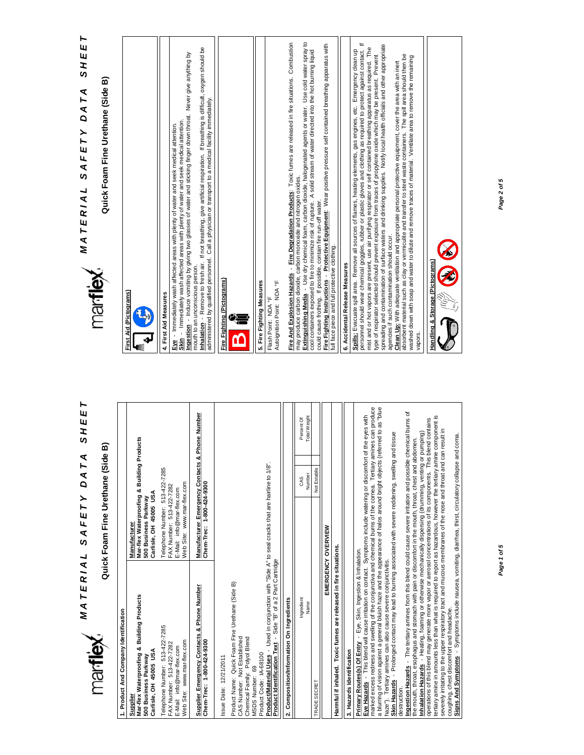| MATERIAL                                                                                                                                                                                                                                                                                                                                                                                                                                                                                                                                                                                                                                                                                                                                                                                                                                                                                                                                                       | SAFETY                                                                                                                | ব<br>H<br>ΔA  | SHEE                                  | ⊢<br>SHEE<br>DATA<br>SAFETY<br>MATERIAL                                                                                                                                                                                                                                                                                                                                                                                                                                                                                                                                                                                                                                                                                                                                                                                                                                                                                                                                                                                                           |
|----------------------------------------------------------------------------------------------------------------------------------------------------------------------------------------------------------------------------------------------------------------------------------------------------------------------------------------------------------------------------------------------------------------------------------------------------------------------------------------------------------------------------------------------------------------------------------------------------------------------------------------------------------------------------------------------------------------------------------------------------------------------------------------------------------------------------------------------------------------------------------------------------------------------------------------------------------------|-----------------------------------------------------------------------------------------------------------------------|---------------|---------------------------------------|---------------------------------------------------------------------------------------------------------------------------------------------------------------------------------------------------------------------------------------------------------------------------------------------------------------------------------------------------------------------------------------------------------------------------------------------------------------------------------------------------------------------------------------------------------------------------------------------------------------------------------------------------------------------------------------------------------------------------------------------------------------------------------------------------------------------------------------------------------------------------------------------------------------------------------------------------------------------------------------------------------------------------------------------------|
| marflex.                                                                                                                                                                                                                                                                                                                                                                                                                                                                                                                                                                                                                                                                                                                                                                                                                                                                                                                                                       | Quick Foam Fine Urethane (Side                                                                                        |               | ⋒                                     | Quick Foam Fine Urethane (Side B)<br>marflex.                                                                                                                                                                                                                                                                                                                                                                                                                                                                                                                                                                                                                                                                                                                                                                                                                                                                                                                                                                                                     |
| 1. Product And Company Identification                                                                                                                                                                                                                                                                                                                                                                                                                                                                                                                                                                                                                                                                                                                                                                                                                                                                                                                          |                                                                                                                       |               |                                       |                                                                                                                                                                                                                                                                                                                                                                                                                                                                                                                                                                                                                                                                                                                                                                                                                                                                                                                                                                                                                                                   |
| Mar-flex Waterproofing & Building Products<br>Carlisle, OH 45005 USA<br>500 Business Parkway<br>Supplier                                                                                                                                                                                                                                                                                                                                                                                                                                                                                                                                                                                                                                                                                                                                                                                                                                                       | Manufacturer<br>Mar-flex Waterproofing & Building<br>Carlisle, OH 45005 USA<br>500 Business Parkway                   |               | Products                              | First Aid (Pictograms)                                                                                                                                                                                                                                                                                                                                                                                                                                                                                                                                                                                                                                                                                                                                                                                                                                                                                                                                                                                                                            |
| Telephone Number: 513-422-7285<br>Web Site: www.mar-flex.com<br>FAX Number: 513-422-7282<br>E-Mail: info@mar-flex.com                                                                                                                                                                                                                                                                                                                                                                                                                                                                                                                                                                                                                                                                                                                                                                                                                                          | Telephone Number: 513-422-7285<br>Web Site: www.mar-flex.com<br>FAX Number: 513-422-7282<br>E-Mail: info@mar-flex.com |               |                                       | Ingestion - Induce vomiting by giving two glasses of water and sticking finger down throat. Never give anything by<br>Skin - Immediately wash affected areas with plenty of water and seek medical attention<br>Eve - Immediately wash affected areas with plenty of water and seek medical attention.<br>4. First Aid Measures                                                                                                                                                                                                                                                                                                                                                                                                                                                                                                                                                                                                                                                                                                                   |
| Supplier Emergency Contacts & Phone Number<br>Chem-Trec: 1-800-424-9300                                                                                                                                                                                                                                                                                                                                                                                                                                                                                                                                                                                                                                                                                                                                                                                                                                                                                        | <b>Manufacturer Emergency Contacts</b><br>Chem-Trec: 1-800-424-9300                                                   |               | & Phone Number                        | nhalation - Remove to fresh air. If not breathing, give artificial respiration. If breathing is difficult, oxygen should be<br>administered by qualified personnel. Call a physician or transport to a medical facility immediately.<br>mouth to an unconscious person.                                                                                                                                                                                                                                                                                                                                                                                                                                                                                                                                                                                                                                                                                                                                                                           |
| Product Name: Quick Foam Fine Urethane (Side B)<br>Chemical Family: Polyol Blend<br>CAS Number: Not Established<br>Issue Date: 12/21/2011                                                                                                                                                                                                                                                                                                                                                                                                                                                                                                                                                                                                                                                                                                                                                                                                                      |                                                                                                                       |               |                                       | Fire Fighting (Pictograms)                                                                                                                                                                                                                                                                                                                                                                                                                                                                                                                                                                                                                                                                                                                                                                                                                                                                                                                                                                                                                        |
| Product/Material Uses - Used in conjunction with "Side A" to seal cracks that are hairline to 1/8"<br>Product Identification Text - Side "B" of a 2 Part Cartridge<br>Product Code: IA-68100<br><b>MSDS Number: 69</b>                                                                                                                                                                                                                                                                                                                                                                                                                                                                                                                                                                                                                                                                                                                                         |                                                                                                                       |               |                                       | 5. Fire Fighting Measures<br>Autoignition Point: NDA °F<br>Flash Point: NDA °F                                                                                                                                                                                                                                                                                                                                                                                                                                                                                                                                                                                                                                                                                                                                                                                                                                                                                                                                                                    |
| 2. Composition/Information On Ingredients                                                                                                                                                                                                                                                                                                                                                                                                                                                                                                                                                                                                                                                                                                                                                                                                                                                                                                                      |                                                                                                                       |               |                                       | Fire And Explosion Hazards - Fire Degradation Products: Toxic furnes are released in fire situations. Combustion                                                                                                                                                                                                                                                                                                                                                                                                                                                                                                                                                                                                                                                                                                                                                                                                                                                                                                                                  |
| Ingredient<br>Name                                                                                                                                                                                                                                                                                                                                                                                                                                                                                                                                                                                                                                                                                                                                                                                                                                                                                                                                             |                                                                                                                       | Number<br>CAS | <b>Total Weight</b><br>Percent Of     | Extinguishing Media - Use dry chemical foam, carbon dioxide, halogenated agents or water. Use cold water spray to<br>may produce carbon dioxide, carbon monoxide and nitrogen oxides.                                                                                                                                                                                                                                                                                                                                                                                                                                                                                                                                                                                                                                                                                                                                                                                                                                                             |
| TRADE SECRET                                                                                                                                                                                                                                                                                                                                                                                                                                                                                                                                                                                                                                                                                                                                                                                                                                                                                                                                                   |                                                                                                                       | Not Establis  |                                       | cool containers exposed to fire to minimize risk of rupture. A solid stream of water directed into the hot burning liquid<br>could cause frothing. If possible, contain fire run-off water.                                                                                                                                                                                                                                                                                                                                                                                                                                                                                                                                                                                                                                                                                                                                                                                                                                                       |
|                                                                                                                                                                                                                                                                                                                                                                                                                                                                                                                                                                                                                                                                                                                                                                                                                                                                                                                                                                | EMERGENCY OVERVIEW                                                                                                    |               |                                       | Fire Fighting Instructions -  Protective Equipment: Wear positive pressure self contained breathing apparatus with                                                                                                                                                                                                                                                                                                                                                                                                                                                                                                                                                                                                                                                                                                                                                                                                                                                                                                                                |
| Harmful if inhaled. Toxic fumes are released in fire situations.                                                                                                                                                                                                                                                                                                                                                                                                                                                                                                                                                                                                                                                                                                                                                                                                                                                                                               |                                                                                                                       |               |                                       | full face piece and full protective clothing.                                                                                                                                                                                                                                                                                                                                                                                                                                                                                                                                                                                                                                                                                                                                                                                                                                                                                                                                                                                                     |
| 3. Hazards Identification                                                                                                                                                                                                                                                                                                                                                                                                                                                                                                                                                                                                                                                                                                                                                                                                                                                                                                                                      |                                                                                                                       |               |                                       | 6. Accidental Release Measures                                                                                                                                                                                                                                                                                                                                                                                                                                                                                                                                                                                                                                                                                                                                                                                                                                                                                                                                                                                                                    |
| marked excess redness and swelling of the conjunctiva and chemical burns of the cornea. Tertiary amines can produce<br>Ingestion Hazards - The tertiary amines from this blend could cause severe irritation and possible chemical burns of<br>Eve Hazards - This blend will cause irritation on contact. Symptoms include watering or discomfort of the eyes with<br>Inhalation Hazards - Heating, foaming or otherwise mechanically dispersing (drumming, venting or pumping)<br>the mouth, throat, esophagus and stomach with pain or discomfort in the mouth, throat, chest and abdomen.<br>a blurring of vision against a general bluish haze and the appearance of halos around bright objects<br>Skin Hazards - Prolonged contact may lead to burning associated with severe reddening, swelling<br>destruction.<br>Primary Routes(s) Of Entry - Eye, Skin, Ingestion & Inhalation.<br>Tertiary amines can also cause severe conjunctivitis.<br>haze"). |                                                                                                                       |               | i (referred to as "blue<br>and tissue | personnel should wear chemical goggles, rubber or plastic gloves and clothing as required to protect against contact. If<br>spreading and contamination of surface waters and drinking supplies. Notify local health officials and other appropriate<br>mist and or hot vapors are present, use air purifying respirator or self contained breathing apparatus as required. The<br>Spills: Evacuate spill area. Remove all sources of flames, heating elements, gas engines, etc. Emergency clean up<br>type of respirator selected should prevent exposure from traces of propylene oxide which may be present. Prevent<br>absorbent material such as clay or vermiculite and transfer to steel waste containers. The spill area should then be<br>washed down with soap and water to dilute and remove traces of material. Ventilate area to remove the remaining<br>Clean Up: With adequate ventilation and appropriate personal protective equipment, cover the area with an inert<br>agencies if such contamination should occur.<br>vapors. |
| tertiary amine in amounts less than what is required to report as hazardous, however the tertiary amine component is<br>operations of this blend may generate more vapor or aerosol concentrations of its components. This blend contains<br>Signs And Symptoms - Symptoms include nausea, vomiting, diarrhea, thirst, circulatory collapse and coma<br>severely irritating to the upper respiratory tract and mucous membranes of the nose and throat and<br>coughing, chest discomfort and headache.                                                                                                                                                                                                                                                                                                                                                                                                                                                         |                                                                                                                       |               | can result in                         | Handling & Storage (Pictograms)                                                                                                                                                                                                                                                                                                                                                                                                                                                                                                                                                                                                                                                                                                                                                                                                                                                                                                                                                                                                                   |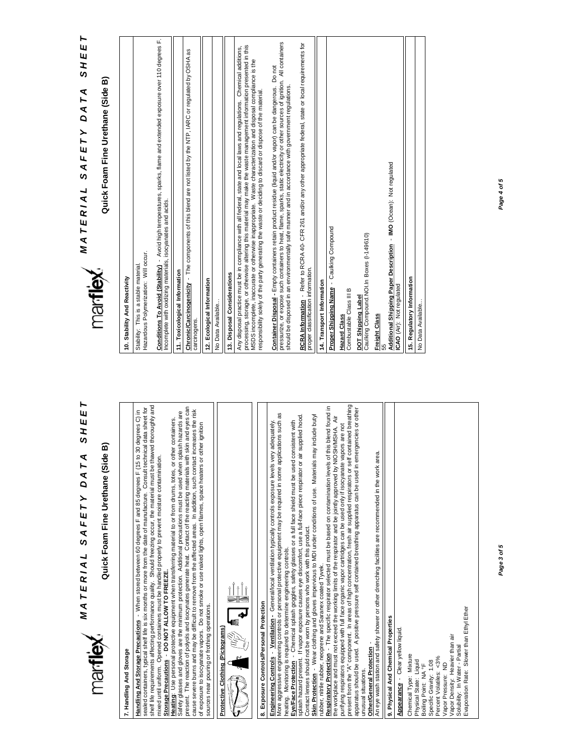# 面 **Quick Foam Fine Urethane (Side B)** Quick Foam Fine Urethane (Side

*MATERIAL SAFETY DATA SHEET A T E R I A L S A F E T Y D A T A S H E E T*

#### 7. Handling And Storage **7. Handling And Storage**

shelf life requirements affecting performance quality. Should freezing occur, the material must be thawed thoroughly and<br>mixed until uniform. Opened containers must be handled properly to prevent moisture contamination. shelf life requirements affecting performance quality. Should freezing occur, the material must be thawed thoroughly and sealed containers, typical shelf life is six months or more from the date of manufacture. Consult technical data sheet for sealed containers, typical shelf life is six months or more from the date of manufacture. Consult technical data sheet for<br>A stift is commission of fraction conferences consults. Charled from the consult the model music t Handling And Storage Precautions - When stored between 60 degrees F and 85 degrees F (15 to 30 degrees C) in **Handling And Storage Precautions** - When stored between 60 degrees F and 85 degrees F (15 to 30 degrees C) in mixed until uniform. Opened containers must be handled properly to prevent moisture contamination. Storage Precautions - DO NOT ALLOW TO FREEZE. **Storage Precautions** - **DO NOT ALLOW TO FREEZE.**

present. The reaction of polyols and isocynates generate heat. Contact of the reacting materials with skin and eyes can<br>cause severe burns and may be difficult to remove from the affected areas. In addition, such contact i present. The reaction of polyols and isocynates generate heat. Contact of the reacting materials with skin and eyes can Safety glasses and gloves are the minimum protection. Additional precautions must be used when splash hazards are cause severe burns and may be difficult to remove from the affected areas. In addition, such contact increases the risk Safety glasses and gloves are the minimum protection. Additional precautions must be used when splash hazards are Heating: Use personal protective equipment when transferring material to or from drums, totes, or other containers. **Heating**: Use personal protective equipment when transferring material to or from drums, totes, or other containers. of exposure to isocyanate vapors. Do not smoke or use naked lights, open flames, space heaters or other ignition sources near pouring or frothing operations. sources near pouring or frothing operations.





# 8. Exposure Controls/Personal Protection **8. Exposure Controls/Personal Protection**

<u>Engineering Controls</u> - <u>Ventilation</u> - General/local ventilation typically controls exposure levels very adequately.<br>More aggressive engineering controls or personal protective equipment may be required in some applicati More aggressive engineering controls or personal protective equipment may be required in some applications such as **Engineering Controls** - **Ventilation -** General/local ventilation typically controls exposure levels very adequately. heating. Monitoring is required to determine engineering controls. heating. Monitoring is required to determine engineering controls.

splash hazard present. If vapor exposure causes eye discomfort, use a full-face piece respirator or air supplied hood. splash hazard present. If vapor exposure causes eye discomfort, use a full-face piece respirator or air supplied hood. Eye/Face Protection - Chemical splash goggles, safety glasses or a full face shield must be used consistent with **Eye/Face Protection** - Chemical splash goggles, safety glasses or a full face shield must be used consistent with

Skin Protection - Wear clothing and gloves impervious to MDI under conditions of use. Materials may include butyl **Skin Protection** - Wear clothing and gloves impervious to MDI under conditions of use. Materials may include butyl Contact lenses should not be worn by persons who work with this product. Contact lenses should not be worn by persons who work with this product.

<u>Respiratory Protection</u> - The specific respirator selected must be based on contamination levels of this blend found in<br>the workplace and must not exceed the working limits of the respirator and be jointly approved by NIO **Respiratory Protection** - The specific respirator selected must be based on contamination levels of this blend found in the workplace and must not exceed the working limits of the respirator and be jointly approved by NIOSH/MSHA. Air rubber, nitrile rubber, neoprene and Saranex coated Tyvek. rubber, nitrile rubber, neoprene and Saranex coated Tyvek.

purifying respirators equipped with full face organic vapor cartridges can be used only if isocyanate vapors are not<br>present from the "A" component. In areas of high concentration, fresh air supplied respirators or self c present from the "A" component. In areas of high concentration, fresh air supplied respirators or self contained breathing apparatus should be used. A positive pressure self contained breathing apparatus can be used in emergencies or other dapparatus showld be used. A positive apparation apparation apparation in emergencies or other purifying respirators equipped with full face organic vapor cartridges can be used only if isocyanate vapors are not unusual situations. unusual situations

Other/General Protection

**Other/General Protection** -<br>An eye wash station and safety shower or other drenching facilities are recommended in the work area. An eye wash station and safety shower or other drenching facilities are recommended in the work area.

9. Physical And Chemical Properties **9. Physical And Chemical Properties** Appearance - Clear yellow liquid.

**Appearance** - Clear yellow liquid. Vapor Density: Heavier than air<br>Solubility: In Water - Partial Vapor Density: Heavier than air Chemical Type: Mixture Chemical Type: Mixture Percent Volatiles: <3% Percent Volatiles: <3% Physical State: Liquid<br>Boiling Point: NA °F Specific Gravity: 1.08 Physical State: Liquid Specific Gravity: 1.08 Vapor Pressure: ND Vapor Pressure: ND Boiling Point: NA °F

Solubility: In Water - Partial

Evaporation Rate: Slower than Ethyl Ether

Evaporation Rate: Slower than Ethyl Ether

*Page 3 of 5*



# *A T E R I A L S A F E T Y D A T A S H E E T* ⋒ **Quick Foam Fine Urethane (Side B)** Quick Foam Fine Urethane (Side

**MATERIAL SAFETY DATA** 

SHEET

### 10. Stability And Reactivity **10. Stability And Reactivity**

Hazardous Polymerization: Will occur. Hazardous Polymerization: Will occur. Stability: This is a stable material Stability: This is a stable material.

<u>Conditions To Avoid (Stability)</u> - Avoid high temperatures, sparks, flame and extended exposure over 110 degrees F.<br>Incomplete with oxidizing materials, isocyanates and acids. **Conditions To Avoid (Stability)** - Avoid high temperatures, sparks, flame and extended exposure over 110 degrees F. Incomplete with oxidizing materials, isocyanates and acids.

11. Toxicological Information **11. Toxicological Information**

Chronic/Carcinogenicity - The components of this blend are not listed by the NTP, IARC or regulated by OSHA as **Chronic/Carcinogenicity** - The components of this blend are not listed by the NTP, IARC or regulated by OSHA as carcinogens. carcinogens.

12. Ecological Information **12. Ecological Information**

No Data Available... No Data Available.

13. Disposal Considerations **13. Disposal Considerations**

processing, storage, or otherwise altering this material may make the waste management information presented in this processing, storage, or otherwise altering this material may make the waste management information presented in this Any disposal practice must be in compliance with all federal, state and local laws and regulations. Chemical additions, Any disposal practice must be in compliance with all federal, state and local laws and regulations. Chemical additions, MSDS incomplete, inaccurate or otherwise inappropriate. Waste characterization and disposal compliance is the<br>responsibility solely of the party generating the waste or deciding to discard or dispose of the material. MSDS incomplete, inaccurate or otherwise inappropriate. Waste characterization and disposal compliance is the responsibility solely of the party generating the waste or deciding to discard or dispose of the material.

pressurize, or expose such containers to heat, flame, sparks, static electricity or other sources of ignition. All containers pressurize, or expose such containers to heat, flame, sparks, static electricity or other sources of ignition. All containers Container Disposal - Empty containers retain product residue (liquid and/or vapor) can be dangerous. Do not **Container Disposal -** Empty containers retain product residue (liquid and/or vapor) can be dangerous. Do not should be disposed in an environmentally safe manner and in accordance with government regulations. should be disposed in an environmentally safe manner and in accordance with government regulations. RCRA Information - Refer to RCRA 40- CFR 261 and/or any other appropriate federal, state or local requirements for **RCRA Information** - Refer to RCRA 40- CFR 261 and/or any other appropriate federal, state or local requirements for proper classification information. proper classification information.

14. Transport Information **14. Transport Information**

Proper Shipping Name - Caulking Compound **Proper Shipping Name** - Caulking Compound

**Hazard Class**

Combustable Class III B

Caulking Compound. NOI.In Boxes (I-149610) Caulking Compound.NOI.In Boxes (I-149610) DOT Shipping Labe **DOT Shipping Label**

**Freight Class**

<u>Additional Shipping Paper Description</u> - IMO (Ocean): Not regulated<br>ICAO (Air): Not regulated **Additional Shipping Paper Description** - **IMO** (Ocean): Not regulated

**ICAO** (Air): Not regulated

15. Regulatory Information **15. Regulatory Information** No Data Available...No Data Available